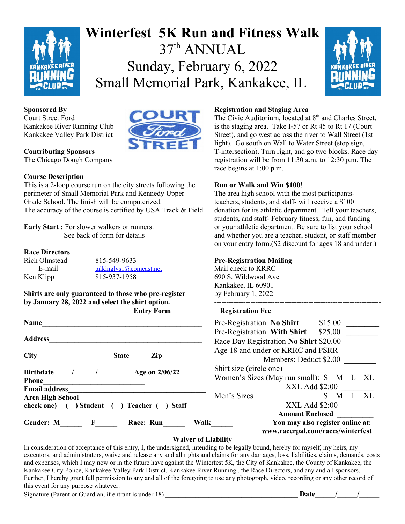

# **Winterfest 5K Run and Fitness Walk** 37th ANNUAL Sunday, February 6, 2022 Small Memorial Park, Kankakee, IL



#### **Sponsored By**

Court Street Ford Kankakee River Running Club Kankakee Valley Park District



## **Contributing Sponsors**

The Chicago Dough Company

#### **Course Description**

This is a 2-loop course run on the city streets following the perimeter of Small Memorial Park and Kennedy Upper Grade School. The finish will be computerized. The accuracy of the course is certified by USA Track & Field.

**Early Start :** For slower walkers or runners. See back of form for details

#### **Race Directors**

Rich Olmstead 815-549-9633 E-mail talkinglys1@comcast.net Ken Klipp 815-937-1958

**Shirts are only guaranteed to those who pre-register by January 28, 2022 and select the shirt option.**

| Name                                                                  | \$15.00<br>Pre-Registration No Shirt                                          |  |  |  |
|-----------------------------------------------------------------------|-------------------------------------------------------------------------------|--|--|--|
|                                                                       | Pre-Registration With Shirt<br>\$25.00                                        |  |  |  |
| <b>Address</b>                                                        | Race Day Registration No Shirt \$20.00                                        |  |  |  |
|                                                                       | Age 18 and under or KRRC and PSRR                                             |  |  |  |
| <b>City</b><br>Zip<br><b>State</b><br>Age on 2/06/22<br>Birthdate / / | Members: Deduct \$2.00                                                        |  |  |  |
|                                                                       | Shirt size (circle one)                                                       |  |  |  |
| <b>Phone</b>                                                          | Women's Sizes (May run small): S M L<br>[X]                                   |  |  |  |
| <b>Email address</b>                                                  | $XXL$ Add $$2:00$                                                             |  |  |  |
| <b>Area High School</b>                                               | X<br>Men's Sizes<br>M                                                         |  |  |  |
| ) Student ( ) Teacher (<br>) Staff<br>check one) (                    | XXL Add \$2:00                                                                |  |  |  |
|                                                                       | <b>Amount Enclosed</b>                                                        |  |  |  |
| Gender: M<br>$\mathbf{F}$<br>Race: Run                                | You may also register online at:<br>Walk<br>www.racerpal.com/races/winterfest |  |  |  |

#### **Registration and Staging Area**

The Civic Auditorium, located at 8<sup>th</sup> and Charles Street, is the staging area. Take I-57 or Rt 45 to Rt 17 (Court Street), and go west across the river to Wall Street (1st light). Go south on Wall to Water Street (stop sign, T-intersection). Turn right, and go two blocks. Race day registration will be from 11:30 a.m. to 12:30 p.m. The race begins at 1:00 p.m.

#### **Run or Walk and Win \$100**!

The area high school with the most participantsteachers, students, and staff- will receive a \$100 donation for its athletic department. Tell your teachers, students, and staff- February fitness, fun, and funding or your athletic department. Be sure to list your school and whether you are a teacher, student, or staff member on your entry form.(\$2 discount for ages 18 and under.)

#### **Pre-Registration Mailing**

Mail check to KRRC 690 S. Wildwood Ave Kankakee, IL 60901 by February 1, 2022 **---------------------------------------------------------------------**

#### **Entry Form Registration Fee**

| Pre-Registration No Shirt               |                                   | \$15.00 |  |          |
|-----------------------------------------|-----------------------------------|---------|--|----------|
| Pre-Registration With Shirt             |                                   | \$25.00 |  |          |
| Race Day Registration No Shirt \$20.00  |                                   |         |  |          |
| Age 18 and under or KRRC and PSRR       |                                   |         |  |          |
|                                         | Members: Deduct \$2.00            |         |  |          |
| Shirt size (circle one)                 |                                   |         |  |          |
| Women's Sizes (May run small): S M L XL |                                   |         |  |          |
|                                         | XXL Add \$2:00                    |         |  |          |
| Men's Sizes                             |                                   |         |  | S M L XL |
|                                         | XXL Add \$2:00                    |         |  |          |
|                                         | <b>Amount Enclosed</b>            |         |  |          |
|                                         | You may also register online at:  |         |  |          |
|                                         | www.racerpal.com/races/winterfest |         |  |          |

#### **Waiver of Liability**

In consideration of acceptance of this entry, I, the undersigned, intending to be legally bound, hereby for myself, my heirs, my executors, and administrators, waive and release any and all rights and claims for any damages, loss, liabilities, claims, demands, costs and expenses, which I may now or in the future have against the Winterfest 5K, the City of Kankakee, the County of Kankakee, the Kankakee City Police, Kankakee Valley Park District, Kankakee River Running , the Race Directors, and any and all sponsors. Further, I hereby grant full permission to any and all of the foregoing to use any photograph, video, recording or any other record of this event for any purpose whatever.

Signature (Parent or Guardian, if entrant is under 18) \_\_\_\_\_\_\_\_\_\_\_\_\_\_\_\_\_\_\_\_\_\_\_\_\_\_\_\_\_\_\_\_\_\_\_\_\_\_\_\_ **Date\_\_\_\_\_/\_\_\_\_\_/\_\_\_\_\_**